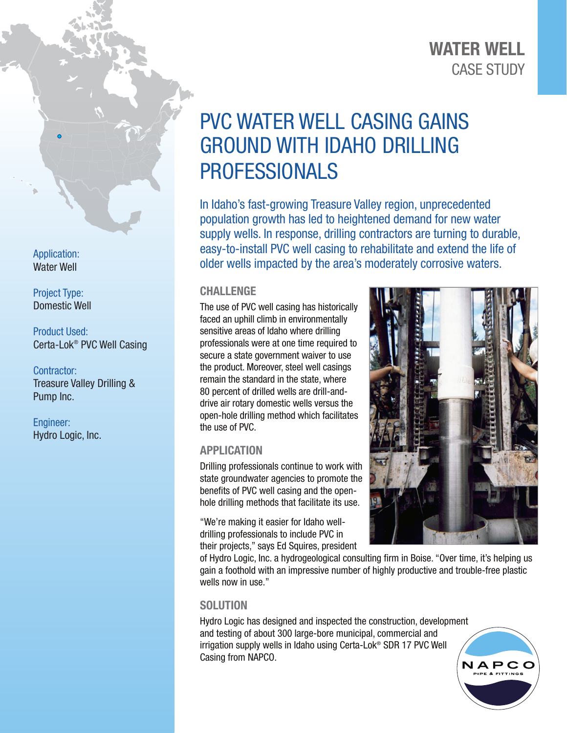## CASE STUDY WATER WELL

# PVC WATER WELL CASING GAINS GROUND WITH IDAHO DRILLING PROFESSIONALS

In Idaho's fast-growing Treasure Valley region, unprecedented population growth has led to heightened demand for new water supply wells. In response, drilling contractors are turning to durable, easy-to-install PVC well casing to rehabilitate and extend the life of older wells impacted by the area's moderately corrosive waters.

#### **CHALLENGE**

The use of PVC well casing has historically faced an uphill climb in environmentally sensitive areas of Idaho where drilling professionals were at one time required to secure a state government waiver to use the product. Moreover, steel well casings remain the standard in the state, where 80 percent of drilled wells are drill-anddrive air rotary domestic wells versus the open-hole drilling method which facilitates the use of PVC.

### APPLICATION

Drilling professionals continue to work with state groundwater agencies to promote the benefits of PVC well casing and the openhole drilling methods that facilitate its use.

"We're making it easier for Idaho welldrilling professionals to include PVC in their projects," says Ed Squires, president



of Hydro Logic, Inc. a hydrogeological consulting firm in Boise. "Over time, it's helping us gain a foothold with an impressive number of highly productive and trouble-free plastic wells now in use."

#### **SOLUTION**

Hydro Logic has designed and inspected the construction, development and testing of about 300 large-bore municipal, commercial and irrigation supply wells in Idaho using Certa-Lok® SDR 17 PVC Well Casing from NAPCO.



Application: Water Well

Project Type: Domestic Well

Product Used: Certa-Lok® PVC Well Casing

Contractor: Treasure Valley Drilling & Pump Inc.

Engineer: Hydro Logic, Inc.